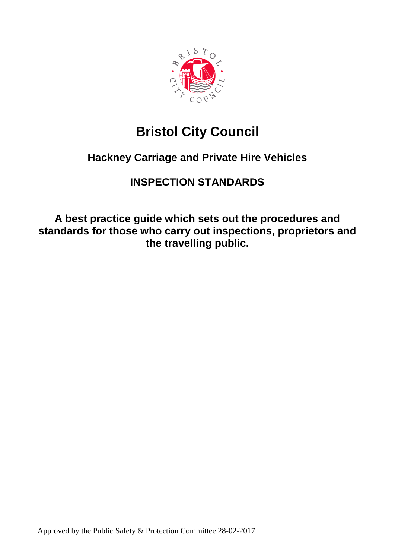

# **Bristol City Council**

## **Hackney Carriage and Private Hire Vehicles**

## **INSPECTION STANDARDS**

**A best practice guide which sets out the procedures and standards for those who carry out inspections, proprietors and the travelling public.**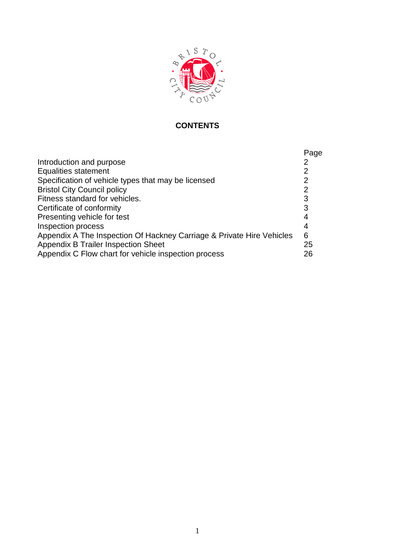

## **CONTENTS**

|                                                                       | Page           |
|-----------------------------------------------------------------------|----------------|
| Introduction and purpose                                              |                |
| <b>Equalities statement</b>                                           | 2              |
| Specification of vehicle types that may be licensed                   | $\overline{2}$ |
| <b>Bristol City Council policy</b>                                    | $\overline{2}$ |
| Fitness standard for vehicles.                                        | 3              |
| Certificate of conformity                                             | 3              |
| Presenting vehicle for test                                           | 4              |
| <b>Inspection process</b>                                             | 4              |
| Appendix A The Inspection Of Hackney Carriage & Private Hire Vehicles | 6              |
| <b>Appendix B Trailer Inspection Sheet</b>                            | 25             |
| Appendix C Flow chart for vehicle inspection process                  | 26             |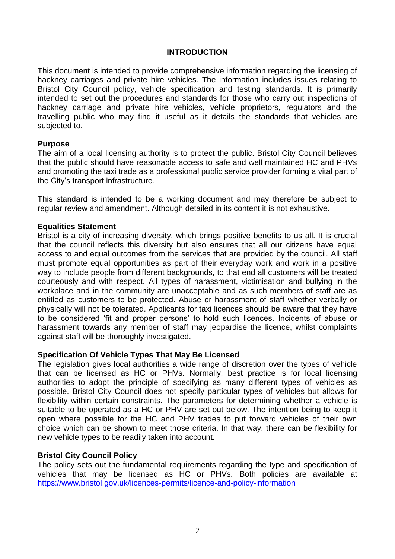#### **INTRODUCTION**

This document is intended to provide comprehensive information regarding the licensing of hackney carriages and private hire vehicles. The information includes issues relating to Bristol City Council policy, vehicle specification and testing standards. It is primarily intended to set out the procedures and standards for those who carry out inspections of hackney carriage and private hire vehicles, vehicle proprietors, regulators and the travelling public who may find it useful as it details the standards that vehicles are subjected to.

#### **Purpose**

The aim of a local licensing authority is to protect the public. Bristol City Council believes that the public should have reasonable access to safe and well maintained HC and PHVs and promoting the taxi trade as a professional public service provider forming a vital part of the City's transport infrastructure.

This standard is intended to be a working document and may therefore be subject to regular review and amendment. Although detailed in its content it is not exhaustive.

#### **Equalities Statement**

Bristol is a city of increasing diversity, which brings positive benefits to us all. It is crucial that the council reflects this diversity but also ensures that all our citizens have equal access to and equal outcomes from the services that are provided by the council. All staff must promote equal opportunities as part of their everyday work and work in a positive way to include people from different backgrounds, to that end all customers will be treated courteously and with respect. All types of harassment, victimisation and bullying in the workplace and in the community are unacceptable and as such members of staff are as entitled as customers to be protected. Abuse or harassment of staff whether verbally or physically will not be tolerated. Applicants for taxi licences should be aware that they have to be considered 'fit and proper persons' to hold such licences. Incidents of abuse or harassment towards any member of staff may jeopardise the licence, whilst complaints against staff will be thoroughly investigated.

#### **Specification Of Vehicle Types That May Be Licensed**

The legislation gives local authorities a wide range of discretion over the types of vehicle that can be licensed as HC or PHVs. Normally, best practice is for local licensing authorities to adopt the principle of specifying as many different types of vehicles as possible. Bristol City Council does not specify particular types of vehicles but allows for flexibility within certain constraints. The parameters for determining whether a vehicle is suitable to be operated as a HC or PHV are set out below. The intention being to keep it open where possible for the HC and PHV trades to put forward vehicles of their own choice which can be shown to meet those criteria. In that way, there can be flexibility for new vehicle types to be readily taken into account.

#### **Bristol City Council Policy**

The policy sets out the fundamental requirements regarding the type and specification of vehicles that may be licensed as HC or PHVs. Both policies are available at <https://www.bristol.gov.uk/licences-permits/licence-and-policy-information>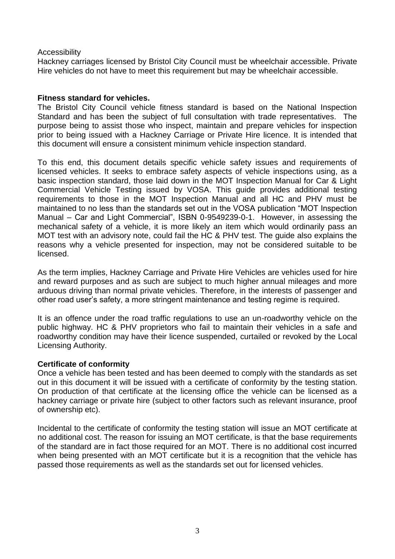#### Accessibility

Hackney carriages licensed by Bristol City Council must be wheelchair accessible. Private Hire vehicles do not have to meet this requirement but may be wheelchair accessible.

#### **Fitness standard for vehicles.**

The Bristol City Council vehicle fitness standard is based on the National Inspection Standard and has been the subject of full consultation with trade representatives. The purpose being to assist those who inspect, maintain and prepare vehicles for inspection prior to being issued with a Hackney Carriage or Private Hire licence. It is intended that this document will ensure a consistent minimum vehicle inspection standard.

To this end, this document details specific vehicle safety issues and requirements of licensed vehicles. It seeks to embrace safety aspects of vehicle inspections using, as a basic inspection standard, those laid down in the MOT Inspection Manual for Car & Light Commercial Vehicle Testing issued by VOSA. This guide provides additional testing requirements to those in the MOT Inspection Manual and all HC and PHV must be maintained to no less than the standards set out in the VOSA publication "MOT Inspection Manual – Car and Light Commercial", ISBN 0-9549239-0-1. However, in assessing the mechanical safety of a vehicle, it is more likely an item which would ordinarily pass an MOT test with an advisory note, could fail the HC & PHV test. The guide also explains the reasons why a vehicle presented for inspection, may not be considered suitable to be licensed.

As the term implies, Hackney Carriage and Private Hire Vehicles are vehicles used for hire and reward purposes and as such are subject to much higher annual mileages and more arduous driving than normal private vehicles. Therefore, in the interests of passenger and other road user's safety, a more stringent maintenance and testing regime is required.

It is an offence under the road traffic regulations to use an un-roadworthy vehicle on the public highway. HC & PHV proprietors who fail to maintain their vehicles in a safe and roadworthy condition may have their licence suspended, curtailed or revoked by the Local Licensing Authority.

#### **Certificate of conformity**

Once a vehicle has been tested and has been deemed to comply with the standards as set out in this document it will be issued with a certificate of conformity by the testing station. On production of that certificate at the licensing office the vehicle can be licensed as a hackney carriage or private hire (subject to other factors such as relevant insurance, proof of ownership etc).

Incidental to the certificate of conformity the testing station will issue an MOT certificate at no additional cost. The reason for issuing an MOT certificate, is that the base requirements of the standard are in fact those required for an MOT. There is no additional cost incurred when being presented with an MOT certificate but it is a recognition that the vehicle has passed those requirements as well as the standards set out for licensed vehicles.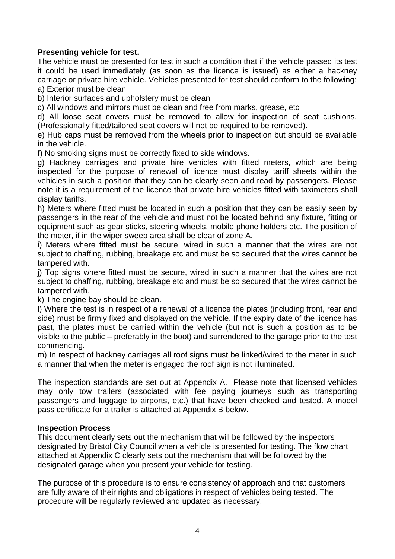### **Presenting vehicle for test.**

The vehicle must be presented for test in such a condition that if the vehicle passed its test it could be used immediately (as soon as the licence is issued) as either a hackney carriage or private hire vehicle. Vehicles presented for test should conform to the following: a) Exterior must be clean

b) Interior surfaces and upholstery must be clean

c) All windows and mirrors must be clean and free from marks, grease, etc

d) All loose seat covers must be removed to allow for inspection of seat cushions. (Professionally fitted/tailored seat covers will not be required to be removed).

e) Hub caps must be removed from the wheels prior to inspection but should be available in the vehicle.

f) No smoking signs must be correctly fixed to side windows.

g) Hackney carriages and private hire vehicles with fitted meters, which are being inspected for the purpose of renewal of licence must display tariff sheets within the vehicles in such a position that they can be clearly seen and read by passengers. Please note it is a requirement of the licence that private hire vehicles fitted with taximeters shall display tariffs.

h) Meters where fitted must be located in such a position that they can be easily seen by passengers in the rear of the vehicle and must not be located behind any fixture, fitting or equipment such as gear sticks, steering wheels, mobile phone holders etc. The position of the meter, if in the wiper sweep area shall be clear of zone A.

i) Meters where fitted must be secure, wired in such a manner that the wires are not subject to chaffing, rubbing, breakage etc and must be so secured that the wires cannot be tampered with.

j) Top signs where fitted must be secure, wired in such a manner that the wires are not subject to chaffing, rubbing, breakage etc and must be so secured that the wires cannot be tampered with.

k) The engine bay should be clean.

l) Where the test is in respect of a renewal of a licence the plates (including front, rear and side) must be firmly fixed and displayed on the vehicle. If the expiry date of the licence has past, the plates must be carried within the vehicle (but not is such a position as to be visible to the public – preferably in the boot) and surrendered to the garage prior to the test commencing.

m) In respect of hackney carriages all roof signs must be linked/wired to the meter in such a manner that when the meter is engaged the roof sign is not illuminated.

The inspection standards are set out at Appendix A. Please note that licensed vehicles may only tow trailers (associated with fee paying journeys such as transporting passengers and luggage to airports, etc.) that have been checked and tested. A model pass certificate for a trailer is attached at Appendix B below.

#### **Inspection Process**

This document clearly sets out the mechanism that will be followed by the inspectors designated by Bristol City Council when a vehicle is presented for testing. The flow chart attached at Appendix C clearly sets out the mechanism that will be followed by the designated garage when you present your vehicle for testing.

The purpose of this procedure is to ensure consistency of approach and that customers are fully aware of their rights and obligations in respect of vehicles being tested. The procedure will be regularly reviewed and updated as necessary.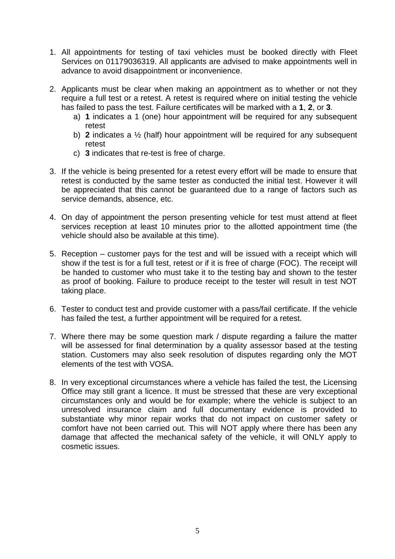- 1. All appointments for testing of taxi vehicles must be booked directly with Fleet Services on 01179036319. All applicants are advised to make appointments well in advance to avoid disappointment or inconvenience.
- 2. Applicants must be clear when making an appointment as to whether or not they require a full test or a retest. A retest is required where on initial testing the vehicle has failed to pass the test. Failure certificates will be marked with a **1**, **2**, or **3**.
	- a) **1** indicates a 1 (one) hour appointment will be required for any subsequent retest
	- b) **2** indicates a ½ (half) hour appointment will be required for any subsequent retest
	- c) **3** indicates that re-test is free of charge.
- 3. If the vehicle is being presented for a retest every effort will be made to ensure that retest is conducted by the same tester as conducted the initial test. However it will be appreciated that this cannot be guaranteed due to a range of factors such as service demands, absence, etc.
- 4. On day of appointment the person presenting vehicle for test must attend at fleet services reception at least 10 minutes prior to the allotted appointment time (the vehicle should also be available at this time).
- 5. Reception customer pays for the test and will be issued with a receipt which will show if the test is for a full test, retest or if it is free of charge (FOC). The receipt will be handed to customer who must take it to the testing bay and shown to the tester as proof of booking. Failure to produce receipt to the tester will result in test NOT taking place.
- 6. Tester to conduct test and provide customer with a pass/fail certificate. If the vehicle has failed the test, a further appointment will be required for a retest.
- 7. Where there may be some question mark / dispute regarding a failure the matter will be assessed for final determination by a quality assessor based at the testing station. Customers may also seek resolution of disputes regarding only the MOT elements of the test with VOSA.
- 8. In very exceptional circumstances where a vehicle has failed the test, the Licensing Office may still grant a licence. It must be stressed that these are very exceptional circumstances only and would be for example; where the vehicle is subject to an unresolved insurance claim and full documentary evidence is provided to substantiate why minor repair works that do not impact on customer safety or comfort have not been carried out. This will NOT apply where there has been any damage that affected the mechanical safety of the vehicle, it will ONLY apply to cosmetic issues.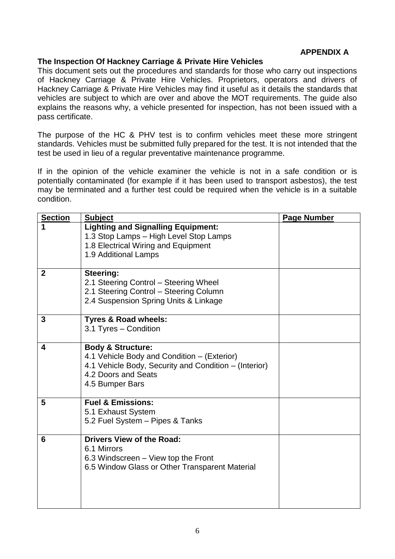### **APPENDIX A**

### **The Inspection Of Hackney Carriage & Private Hire Vehicles**

This document sets out the procedures and standards for those who carry out inspections of Hackney Carriage & Private Hire Vehicles. Proprietors, operators and drivers of Hackney Carriage & Private Hire Vehicles may find it useful as it details the standards that vehicles are subject to which are over and above the MOT requirements. The guide also explains the reasons why, a vehicle presented for inspection, has not been issued with a pass certificate.

The purpose of the HC & PHV test is to confirm vehicles meet these more stringent standards. Vehicles must be submitted fully prepared for the test. It is not intended that the test be used in lieu of a regular preventative maintenance programme.

If in the opinion of the vehicle examiner the vehicle is not in a safe condition or is potentially contaminated (for example if it has been used to transport asbestos), the test may be terminated and a further test could be required when the vehicle is in a suitable condition.

| <b>Section</b> | <b>Subject</b>                                                                | <b>Page Number</b> |
|----------------|-------------------------------------------------------------------------------|--------------------|
|                | <b>Lighting and Signalling Equipment:</b>                                     |                    |
|                | 1.3 Stop Lamps - High Level Stop Lamps<br>1.8 Electrical Wiring and Equipment |                    |
|                | 1.9 Additional Lamps                                                          |                    |
|                |                                                                               |                    |
| $\mathbf{2}$   | Steering:                                                                     |                    |
|                | 2.1 Steering Control - Steering Wheel                                         |                    |
|                | 2.1 Steering Control - Steering Column                                        |                    |
|                | 2.4 Suspension Spring Units & Linkage                                         |                    |
| 3              | <b>Tyres &amp; Road wheels:</b>                                               |                    |
|                | 3.1 Tyres - Condition                                                         |                    |
| 4              | <b>Body &amp; Structure:</b>                                                  |                    |
|                | 4.1 Vehicle Body and Condition – (Exterior)                                   |                    |
|                | 4.1 Vehicle Body, Security and Condition - (Interior)                         |                    |
|                | 4.2 Doors and Seats                                                           |                    |
|                | 4.5 Bumper Bars                                                               |                    |
| 5              | <b>Fuel &amp; Emissions:</b>                                                  |                    |
|                | 5.1 Exhaust System                                                            |                    |
|                | 5.2 Fuel System - Pipes & Tanks                                               |                    |
| 6              | <b>Drivers View of the Road:</b>                                              |                    |
|                | 6.1 Mirrors                                                                   |                    |
|                | 6.3 Windscreen – View top the Front                                           |                    |
|                | 6.5 Window Glass or Other Transparent Material                                |                    |
|                |                                                                               |                    |
|                |                                                                               |                    |
|                |                                                                               |                    |
|                |                                                                               |                    |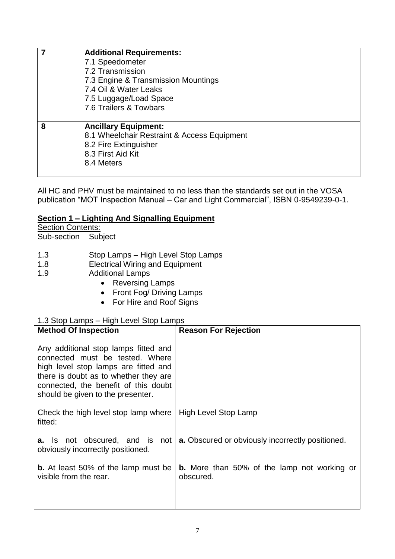|   | <b>Additional Requirements:</b><br>7.1 Speedometer<br>7.2 Transmission<br>7.3 Engine & Transmission Mountings<br>7.4 Oil & Water Leaks<br>7.5 Luggage/Load Space<br>7.6 Trailers & Towbars |
|---|--------------------------------------------------------------------------------------------------------------------------------------------------------------------------------------------|
| 8 | <b>Ancillary Equipment:</b><br>8.1 Wheelchair Restraint & Access Equipment<br>8.2 Fire Extinguisher<br>8.3 First Aid Kit<br>8.4 Meters                                                     |

All HC and PHV must be maintained to no less than the standards set out in the VOSA publication "MOT Inspection Manual – Car and Light Commercial", ISBN 0-9549239-0-1.

### **Section 1 – Lighting And Signalling Equipment**

| <b>Section Contents:</b>                                                                                                                                                                                                                             |                                                                 |  |
|------------------------------------------------------------------------------------------------------------------------------------------------------------------------------------------------------------------------------------------------------|-----------------------------------------------------------------|--|
| Sub-section<br>Subject                                                                                                                                                                                                                               |                                                                 |  |
| 1.3<br>Stop Lamps - High Level Stop Lamps<br><b>Electrical Wiring and Equipment</b><br>1.8<br><b>Additional Lamps</b><br>1.9<br><b>Reversing Lamps</b><br>$\bullet$<br>Front Fog/ Driving Lamps<br>$\bullet$<br>For Hire and Roof Signs<br>$\bullet$ |                                                                 |  |
| 1.3 Stop Lamps - High Level Stop Lamps<br><b>Method Of Inspection</b>                                                                                                                                                                                | <b>Reason For Rejection</b>                                     |  |
|                                                                                                                                                                                                                                                      |                                                                 |  |
| Any additional stop lamps fitted and<br>connected must be tested. Where<br>high level stop lamps are fitted and<br>there is doubt as to whether they are<br>connected, the benefit of this doubt<br>should be given to the presenter.                |                                                                 |  |
| Check the high level stop lamp where<br>fitted:                                                                                                                                                                                                      | High Level Stop Lamp                                            |  |
| <b>a.</b> Is not obscured, and is<br>not<br>obviously incorrectly positioned.                                                                                                                                                                        | a. Obscured or obviously incorrectly positioned.                |  |
| <b>b.</b> At least 50% of the lamp must be<br>visible from the rear.                                                                                                                                                                                 | <b>b.</b> More than 50% of the lamp not working or<br>obscured. |  |
|                                                                                                                                                                                                                                                      |                                                                 |  |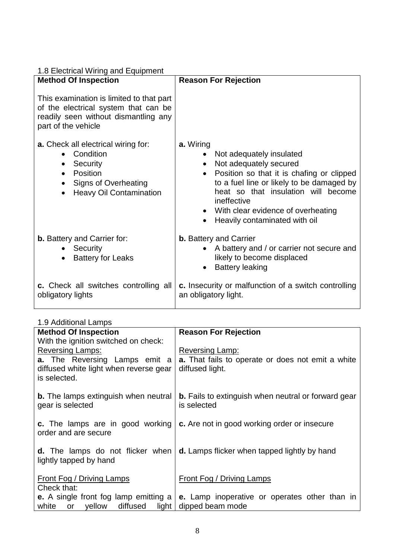| 1.8 Electrical Wiring and Equipment<br><b>Method Of Inspection</b>                                                                              | <b>Reason For Rejection</b>                          |
|-------------------------------------------------------------------------------------------------------------------------------------------------|------------------------------------------------------|
| This examination is limited to that part<br>of the electrical system that can be<br>readily seen without dismantling any<br>part of the vehicle |                                                      |
| <b>a.</b> Check all electrical wiring for:                                                                                                      | a. Wiring                                            |
| Condition                                                                                                                                       | Not adequately insulated                             |
| $\bullet$                                                                                                                                       | Not adequately secured                               |
| Security                                                                                                                                        | $\bullet$                                            |
| $\bullet$                                                                                                                                       | Position so that it is chafing or clipped            |
| Position                                                                                                                                        | $\bullet$                                            |
| $\bullet$                                                                                                                                       | to a fuel line or likely to be damaged by            |
| Signs of Overheating                                                                                                                            | heat so that insulation will become                  |
| $\bullet$                                                                                                                                       | ineffective                                          |
| <b>Heavy Oil Contamination</b>                                                                                                                  | • With clear evidence of overheating                 |
| $\bullet$                                                                                                                                       | Heavily contaminated with oil                        |
| <b>b.</b> Battery and Carrier for:                                                                                                              | <b>b.</b> Battery and Carrier                        |
| Security                                                                                                                                        | • A battery and / or carrier not secure and          |
| <b>Battery for Leaks</b>                                                                                                                        | likely to become displaced                           |
| $\bullet$                                                                                                                                       | <b>Battery leaking</b>                               |
| c. Check all switches controlling all                                                                                                           | c. Insecurity or malfunction of a switch controlling |
| obligatory lights                                                                                                                               | an obligatory light.                                 |

### 1.9 Additional Lamps

| <b>Method Of Inspection</b>                                       | <b>Reason For Rejection</b>                                               |
|-------------------------------------------------------------------|---------------------------------------------------------------------------|
| With the ignition switched on check:                              |                                                                           |
| <b>Reversing Lamps:</b>                                           | Reversing Lamp:                                                           |
| <b>a.</b> The Reversing Lamps emit a                              | <b>a.</b> That fails to operate or does not emit a white                  |
| diffused white light when reverse gear<br>is selected.            | diffused light.                                                           |
|                                                                   |                                                                           |
| <b>b.</b> The lamps extinguish when neutral<br>gear is selected   | <b>b.</b> Fails to extinguish when neutral or forward gear<br>is selected |
| c. The lamps are in good working<br>order and are secure          | c. Are not in good working order or insecure                              |
|                                                                   |                                                                           |
| <b>d.</b> The lamps do not flicker when<br>lightly tapped by hand | d. Lamps flicker when tapped lightly by hand                              |
| Front Fog / Driving Lamps                                         | Front Fog / Driving Lamps                                                 |
| Check that:                                                       |                                                                           |
| <b>e.</b> A single front fog lamp emitting a                      | e. Lamp inoperative or operates other than in                             |
| white<br>or yellow diffused<br>light                              | dipped beam mode                                                          |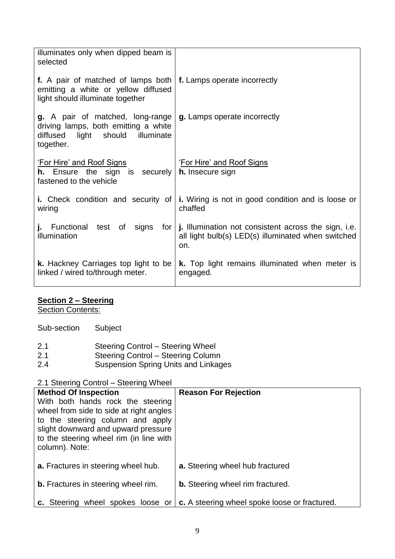| illuminates only when dipped beam is<br>selected                                                                                 |                                                                                                                   |
|----------------------------------------------------------------------------------------------------------------------------------|-------------------------------------------------------------------------------------------------------------------|
| f. A pair of matched of lamps both<br>emitting a white or yellow diffused<br>light should illuminate together                    | f. Lamps operate incorrectly                                                                                      |
| <b>g.</b> A pair of matched, long-range<br>driving lamps, both emitting a white<br>diffused light should illuminate<br>together. | g. Lamps operate incorrectly                                                                                      |
| 'For Hire' and Roof Signs<br><b>h.</b> Ensure the sign is securely<br>fastened to the vehicle                                    | <u>'For Hire' and Roof Signs</u><br><b>h.</b> Insecure sign                                                       |
| <b>i.</b> Check condition and security of<br>wiring                                                                              | <b>i.</b> Wiring is not in good condition and is loose or<br>chaffed                                              |
| <b>j.</b> Functional test of signs<br>for <sub>1</sub><br>illumination                                                           | j. Illumination not consistent across the sign, i.e.<br>all light bulb(s) LED(s) illuminated when switched<br>on. |
| <b>k.</b> Hackney Carriages top light to be<br>linked / wired to/through meter.                                                  | <b>k.</b> Top light remains illuminated when meter is<br>engaged.                                                 |

### **Section 2 – Steering**

**Section Contents:** 

| Sub-section | Subject |
|-------------|---------|
|-------------|---------|

| 2.1 |  | <b>Steering Control - Steering Wheel</b> |
|-----|--|------------------------------------------|
|-----|--|------------------------------------------|

- 2.1 Steering Control Steering Column
- 2.4 Suspension Spring Units and Linkages

### 2.1 Steering Control – Steering Wheel

| <b>Method Of Inspection</b><br>With both hands rock the steering<br>wheel from side to side at right angles<br>to the steering column and apply<br>slight downward and upward pressure<br>to the steering wheel rim (in line with<br>column). Note: | <b>Reason For Rejection</b>                   |
|-----------------------------------------------------------------------------------------------------------------------------------------------------------------------------------------------------------------------------------------------------|-----------------------------------------------|
| <b>a.</b> Fractures in steering wheel hub.                                                                                                                                                                                                          | a. Steering wheel hub fractured               |
| <b>b.</b> Fractures in steering wheel rim.                                                                                                                                                                                                          | <b>b.</b> Steering wheel rim fractured.       |
| c. Steering wheel spokes loose or                                                                                                                                                                                                                   | c. A steering wheel spoke loose or fractured. |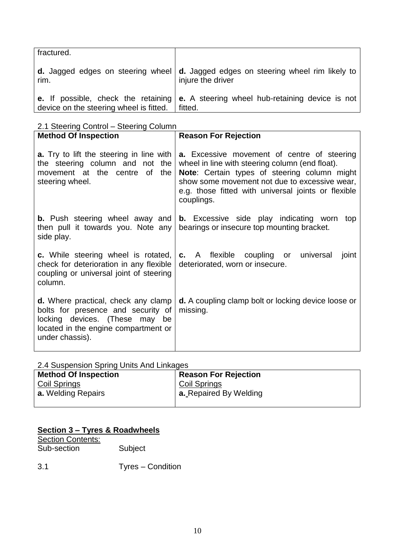| fractured.                              |                                                                                                                                      |
|-----------------------------------------|--------------------------------------------------------------------------------------------------------------------------------------|
| rim.                                    | <b>d.</b> Jagged edges on steering wheel $\vert$ <b>d.</b> Jagged edges on steering wheel rim likely to $\vert$<br>injure the driver |
| device on the steering wheel is fitted. | <b>e.</b> If possible, check the retaining $\mathbf{e}$ . A steering wheel hub-retaining device is not<br>fitted.                    |

2.1 Steering Control – Steering Column

| 2. Oloomiy Obniyi - Oloomiy Oblamin                                                                                                                                           |                                                                                                                                                                                                                                                                             |  |
|-------------------------------------------------------------------------------------------------------------------------------------------------------------------------------|-----------------------------------------------------------------------------------------------------------------------------------------------------------------------------------------------------------------------------------------------------------------------------|--|
| <b>Method Of Inspection</b>                                                                                                                                                   | <b>Reason For Rejection</b>                                                                                                                                                                                                                                                 |  |
| <b>a.</b> Try to lift the steering in line with<br>the steering column and not the<br>movement at the centre of<br>the<br>steering wheel.                                     | <b>a.</b> Excessive movement of centre of steering<br>wheel in line with steering column (end float).<br>Note: Certain types of steering column might<br>show some movement not due to excessive wear,<br>e.g. those fitted with universal joints or flexible<br>couplings. |  |
| <b>b.</b> Push steering wheel away and<br>then pull it towards you. Note any<br>side play.                                                                                    | <b>b.</b> Excessive side play indicating worn top<br>bearings or insecure top mounting bracket.                                                                                                                                                                             |  |
| c. While steering wheel is rotated,<br>check for deterioration in any flexible<br>coupling or universal joint of steering<br>column.                                          | c. A flexible coupling or universal<br>joint<br>deteriorated, worn or insecure.                                                                                                                                                                                             |  |
| <b>d.</b> Where practical, check any clamp<br>bolts for presence and security of<br>locking devices. (These may be<br>located in the engine compartment or<br>under chassis). | <b>d.</b> A coupling clamp bolt or locking device loose or<br>missing.                                                                                                                                                                                                      |  |

### 2.4 Suspension Spring Units And Linkages

| <b>Method Of Inspection</b> | <b>Reason For Rejection</b>   |
|-----------------------------|-------------------------------|
| <b>Coil Springs</b>         | Coil Springs                  |
| <b>a.</b> Welding Repairs   | <b>a.</b> Repaired By Welding |
|                             |                               |

### **Section 3 – Tyres & Roadwheels**

| <b>Section Contents:</b> |         |
|--------------------------|---------|
| Sub-section              | Subject |
|                          |         |

3.1 Tyres – Condition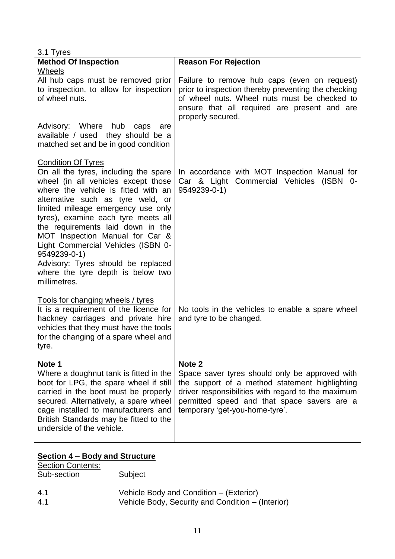| 3.1 Tyres                                                                                                                                                                                                                                                                                                                                                                                                                                                                                   |                                                                                                                                                                                                                                                              |
|---------------------------------------------------------------------------------------------------------------------------------------------------------------------------------------------------------------------------------------------------------------------------------------------------------------------------------------------------------------------------------------------------------------------------------------------------------------------------------------------|--------------------------------------------------------------------------------------------------------------------------------------------------------------------------------------------------------------------------------------------------------------|
| <b>Method Of Inspection</b>                                                                                                                                                                                                                                                                                                                                                                                                                                                                 | <b>Reason For Rejection</b>                                                                                                                                                                                                                                  |
| Wheels<br>All hub caps must be removed prior<br>to inspection, to allow for inspection<br>of wheel nuts.                                                                                                                                                                                                                                                                                                                                                                                    | Failure to remove hub caps (even on request)<br>prior to inspection thereby preventing the checking<br>of wheel nuts. Wheel nuts must be checked to<br>ensure that all required are present and are<br>properly secured.                                     |
| Advisory: Where hub<br>caps<br>are<br>available / used they should be a<br>matched set and be in good condition                                                                                                                                                                                                                                                                                                                                                                             |                                                                                                                                                                                                                                                              |
| <b>Condition Of Tyres</b><br>On all the tyres, including the spare<br>wheel (in all vehicles except those<br>where the vehicle is fitted with an<br>alternative such as tyre weld, or<br>limited mileage emergency use only<br>tyres), examine each tyre meets all<br>the requirements laid down in the<br>MOT Inspection Manual for Car &<br>Light Commercial Vehicles (ISBN 0-<br>9549239-0-1)<br>Advisory: Tyres should be replaced<br>where the tyre depth is below two<br>millimetres. | In accordance with MOT Inspection Manual for<br>Car & Light Commercial Vehicles (ISBN 0-<br>9549239-0-1)                                                                                                                                                     |
| Tools for changing wheels / tyres<br>It is a requirement of the licence for<br>hackney carriages and private hire<br>vehicles that they must have the tools<br>for the changing of a spare wheel and<br>tyre.                                                                                                                                                                                                                                                                               | No tools in the vehicles to enable a spare wheel<br>and tyre to be changed.                                                                                                                                                                                  |
| Note 1<br>Where a doughnut tank is fitted in the<br>boot for LPG, the spare wheel if still<br>carried in the boot must be properly<br>secured. Alternatively, a spare wheel<br>cage installed to manufacturers and<br>British Standards may be fitted to the<br>underside of the vehicle.                                                                                                                                                                                                   | Note <sub>2</sub><br>Space saver tyres should only be approved with<br>the support of a method statement highlighting<br>driver responsibilities with regard to the maximum<br>permitted speed and that space savers are a<br>temporary 'get-you-home-tyre'. |

### **Section 4 – Body and Structure**

| <b>Section Contents:</b> |                                                   |
|--------------------------|---------------------------------------------------|
| Sub-section              | Subject                                           |
|                          |                                                   |
| 4.1                      | Vehicle Body and Condition – (Exterior)           |
| 4.1                      | Vehicle Body, Security and Condition – (Interior) |
|                          |                                                   |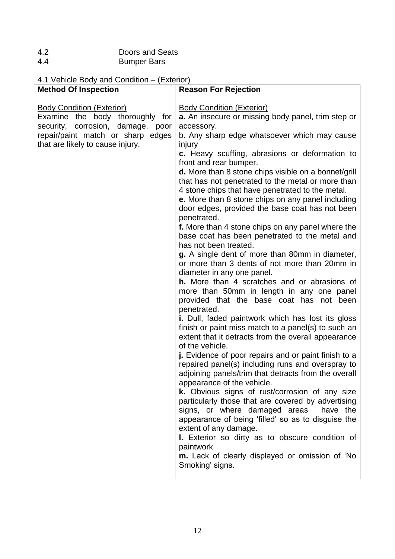| 4.2 | Doors and Seats    |
|-----|--------------------|
| 4.4 | <b>Bumper Bars</b> |

### 4.1 Vehicle Body and Condition – (Exterior)

| <b>Method Of Inspection</b>                                                                                                                                                       | <b>Reason For Rejection</b>                                                                                                                                                                                                                                                                                                                                                                                                                                                                                                                                                                                                                                                                                                                                                                                                                                                                                                                                                                                                                                                                                                                                                                                                                                                                                                                                                                                                                                                                                                                                                                                                                                                                                                     |
|-----------------------------------------------------------------------------------------------------------------------------------------------------------------------------------|---------------------------------------------------------------------------------------------------------------------------------------------------------------------------------------------------------------------------------------------------------------------------------------------------------------------------------------------------------------------------------------------------------------------------------------------------------------------------------------------------------------------------------------------------------------------------------------------------------------------------------------------------------------------------------------------------------------------------------------------------------------------------------------------------------------------------------------------------------------------------------------------------------------------------------------------------------------------------------------------------------------------------------------------------------------------------------------------------------------------------------------------------------------------------------------------------------------------------------------------------------------------------------------------------------------------------------------------------------------------------------------------------------------------------------------------------------------------------------------------------------------------------------------------------------------------------------------------------------------------------------------------------------------------------------------------------------------------------------|
| <b>Body Condition (Exterior)</b><br>Examine the body thoroughly for<br>security, corrosion, damage, poor<br>repair/paint match or sharp edges<br>that are likely to cause injury. | <b>Body Condition (Exterior)</b><br>a. An insecure or missing body panel, trim step or<br>accessory.<br>b. Any sharp edge whatsoever which may cause<br>injury<br>c. Heavy scuffing, abrasions or deformation to<br>front and rear bumper.<br>d. More than 8 stone chips visible on a bonnet/grill<br>that has not penetrated to the metal or more than<br>4 stone chips that have penetrated to the metal.<br>e. More than 8 stone chips on any panel including<br>door edges, provided the base coat has not been<br>penetrated.<br>f. More than 4 stone chips on any panel where the<br>base coat has been penetrated to the metal and<br>has not been treated.<br>g. A single dent of more than 80mm in diameter,<br>or more than 3 dents of not more than 20mm in<br>diameter in any one panel.<br>h. More than 4 scratches and or abrasions of<br>more than 50mm in length in any one panel<br>provided that the base coat has not been<br>penetrated.<br>i. Dull, faded paintwork which has lost its gloss<br>finish or paint miss match to a panel(s) to such an<br>extent that it detracts from the overall appearance<br>of the vehicle.<br>j. Evidence of poor repairs and or paint finish to a<br>repaired panel(s) including runs and overspray to<br>adjoining panels/trim that detracts from the overall<br>appearance of the vehicle.<br>k. Obvious signs of rust/corrosion of any size<br>particularly those that are covered by advertising<br>signs, or where damaged areas<br>have the<br>appearance of being 'filled' so as to disguise the<br>extent of any damage.<br>I. Exterior so dirty as to obscure condition of<br>paintwork<br>m. Lack of clearly displayed or omission of 'No<br>Smoking' signs. |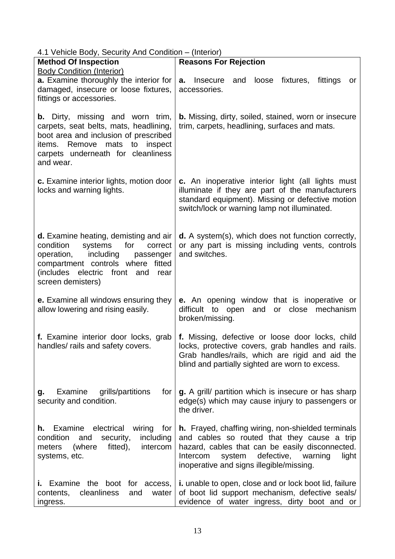4.1 Vehicle Body, Security And Condition – (Interior)

| $\ldots$ volume body, observe this condition $\ldots$                                                                                                                                                                   |                                                                                                                                                                                                                                                              |
|-------------------------------------------------------------------------------------------------------------------------------------------------------------------------------------------------------------------------|--------------------------------------------------------------------------------------------------------------------------------------------------------------------------------------------------------------------------------------------------------------|
| <b>Method Of Inspection</b><br><b>Body Condition (Interior)</b>                                                                                                                                                         | <b>Reasons For Rejection</b>                                                                                                                                                                                                                                 |
| a. Examine thoroughly the interior for<br>damaged, insecure or loose fixtures,<br>fittings or accessories.                                                                                                              | Insecure<br>loose<br>fixtures,<br>fittings<br>and<br>a.<br>or<br>accessories.                                                                                                                                                                                |
| <b>b.</b> Dirty, missing and worn trim,<br>carpets, seat belts, mats, headlining,<br>boot area and inclusion of prescribed<br>items. Remove<br>mats<br>inspect<br>to<br>carpets underneath for cleanliness<br>and wear. | <b>b.</b> Missing, dirty, soiled, stained, worn or insecure<br>trim, carpets, headlining, surfaces and mats.                                                                                                                                                 |
| c. Examine interior lights, motion door<br>locks and warning lights.                                                                                                                                                    | c. An inoperative interior light (all lights must<br>illuminate if they are part of the manufacturers<br>standard equipment). Missing or defective motion<br>switch/lock or warning lamp not illuminated.                                                    |
| d. Examine heating, demisting and air<br>for<br>systems<br>condition<br>correct<br>operation, including<br>passenger<br>compartment controls where fitted<br>(includes electric front and<br>rear<br>screen demisters)  | <b>d.</b> A system(s), which does not function correctly,<br>or any part is missing including vents, controls<br>and switches.                                                                                                                               |
| e. Examine all windows ensuring they<br>allow lowering and rising easily.                                                                                                                                               | <b>e.</b> An opening window that is inoperative or<br>difficult to open and<br>or close mechanism<br>broken/missing.                                                                                                                                         |
| f. Examine interior door locks, grab<br>handles/ rails and safety covers.                                                                                                                                               | f. Missing, defective or loose door locks, child<br>locks, protective covers, grab handles and rails.<br>Grab handles/rails, which are rigid and aid the<br>blind and partially sighted are worn to excess.                                                  |
| Examine<br>grills/partitions<br>for<br>g.<br>security and condition.                                                                                                                                                    | g. A grill/ partition which is insecure or has sharp<br>edge(s) which may cause injury to passengers or<br>the driver.                                                                                                                                       |
| Examine<br>electrical<br>wiring<br>h.<br>for<br>condition<br>including<br>and<br>security,<br>(where<br>fitted),<br>intercom<br>meters<br>systems, etc.                                                                 | <b>h.</b> Frayed, chaffing wiring, non-shielded terminals<br>and cables so routed that they cause a trip<br>hazard, cables that can be easily disconnected.<br>defective, warning<br>Intercom<br>system<br>light<br>inoperative and signs illegible/missing. |
| i. Examine the boot for access,<br>cleanliness<br>water<br>contents,<br>and<br>ingress.                                                                                                                                 | <b>i.</b> unable to open, close and or lock boot lid, failure<br>of boot lid support mechanism, defective seals/<br>evidence of water ingress, dirty boot and or                                                                                             |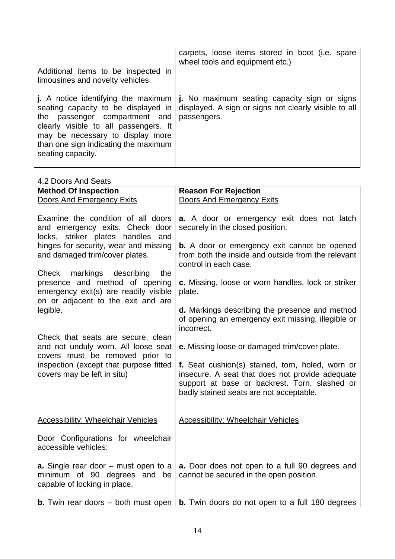|                                                                                                                                                                                                                                                       | carpets, loose items stored in boot (i.e. spare<br>wheel tools and equipment etc.)                                   |
|-------------------------------------------------------------------------------------------------------------------------------------------------------------------------------------------------------------------------------------------------------|----------------------------------------------------------------------------------------------------------------------|
| Additional items to be inspected in<br>limousines and novelty vehicles:                                                                                                                                                                               |                                                                                                                      |
| j. A notice identifying the maximum<br>seating capacity to be displayed in<br>the passenger compartment and<br>clearly visible to all passengers. It<br>may be necessary to display more<br>than one sign indicating the maximum<br>seating capacity. | j. No maximum seating capacity sign or signs<br>displayed. A sign or signs not clearly visible to all<br>passengers. |

| 4.2 Doors And Seats                                                                                                                                  |                                                                                                                                                                                                 |
|------------------------------------------------------------------------------------------------------------------------------------------------------|-------------------------------------------------------------------------------------------------------------------------------------------------------------------------------------------------|
| <b>Method Of Inspection</b>                                                                                                                          | <b>Reason For Rejection</b>                                                                                                                                                                     |
| Doors And Emergency Exits                                                                                                                            | Doors And Emergency Exits                                                                                                                                                                       |
| Examine the condition of all doors<br>and emergency exits. Check door<br>locks, striker plates handles and                                           | a. A door or emergency exit does not latch<br>securely in the closed position.                                                                                                                  |
| hinges for security, wear and missing<br>and damaged trim/cover plates.                                                                              | <b>b.</b> A door or emergency exit cannot be opened<br>from both the inside and outside from the relevant<br>control in each case.                                                              |
| Check<br>markings describing<br>the<br>presence and method of opening<br>emergency exit(s) are readily visible<br>on or adjacent to the exit and are | c. Missing, loose or worn handles, lock or striker<br>plate.                                                                                                                                    |
| legible.                                                                                                                                             | d. Markings describing the presence and method<br>of opening an emergency exit missing, illegible or<br>incorrect.                                                                              |
| Check that seats are secure, clean<br>and not unduly worn. All loose seat<br>covers must be removed prior to                                         | e. Missing loose or damaged trim/cover plate.                                                                                                                                                   |
| inspection (except that purpose fitted<br>covers may be left in situ)                                                                                | f. Seat cushion(s) stained, torn, holed, worn or<br>insecure. A seat that does not provide adequate<br>support at base or backrest. Torn, slashed or<br>badly stained seats are not acceptable. |
| <b>Accessibility: Wheelchair Vehicles</b>                                                                                                            | <b>Accessibility: Wheelchair Vehicles</b>                                                                                                                                                       |
| Door Configurations for wheelchair<br>accessible vehicles:                                                                                           |                                                                                                                                                                                                 |
| <b>a.</b> Single rear door – must open to a<br>minimum of 90 degrees and be<br>capable of locking in place.                                          | a. Door does not open to a full 90 degrees and<br>cannot be secured in the open position.                                                                                                       |
|                                                                                                                                                      | <b>b.</b> Twin rear doors – both must open $\vert$ <b>b.</b> Twin doors do not open to a full 180 degrees                                                                                       |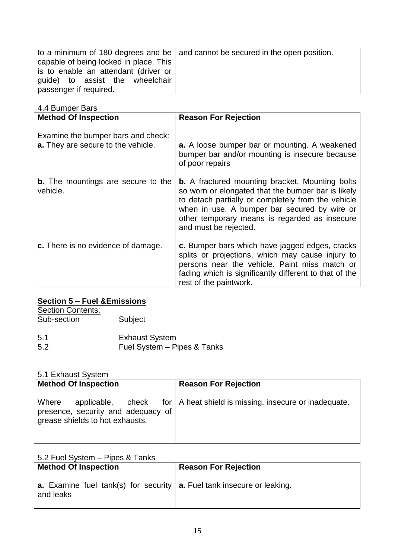|                                        | to a minimum of 180 degrees and be $\vert$ and cannot be secured in the open position. |
|----------------------------------------|----------------------------------------------------------------------------------------|
| capable of being locked in place. This |                                                                                        |
| is to enable an attendant (driver or   |                                                                                        |
| guide) to assist the wheelchair        |                                                                                        |
| passenger if required.                 |                                                                                        |

4.4 Bumper Bars

| <b>Method Of Inspection</b>                                              | <b>Reason For Rejection</b>                                                                                                                                                                                                                                                                  |
|--------------------------------------------------------------------------|----------------------------------------------------------------------------------------------------------------------------------------------------------------------------------------------------------------------------------------------------------------------------------------------|
| Examine the bumper bars and check:<br>a. They are secure to the vehicle. | a. A loose bumper bar or mounting. A weakened<br>bumper bar and/or mounting is insecure because<br>of poor repairs                                                                                                                                                                           |
| <b>b.</b> The mountings are secure to the<br>vehicle.                    | <b>b.</b> A fractured mounting bracket. Mounting bolts<br>so worn or elongated that the bumper bar is likely<br>to detach partially or completely from the vehicle<br>when in use. A bumper bar secured by wire or<br>other temporary means is regarded as insecure<br>and must be rejected. |
| c. There is no evidence of damage.                                       | c. Bumper bars which have jagged edges, cracks<br>splits or projections, which may cause injury to<br>persons near the vehicle. Paint miss match or<br>fading which is significantly different to that of the<br>rest of the paintwork.                                                      |

### **Section 5 – Fuel &Emissions**

**Section Contents:** 

Sub-section Subject

| 5.1 | <b>Exhaust System</b>       |
|-----|-----------------------------|
| 5.2 | Fuel System - Pipes & Tanks |

### 5.1 Exhaust System

| <b>Method Of Inspection</b>                                                    | <b>Reason For Rejection</b>                                                 |
|--------------------------------------------------------------------------------|-----------------------------------------------------------------------------|
| Where<br>presence, security and adequacy of<br>grease shields to hot exhausts. | applicable, check for $ A $ heat shield is missing, insecure or inadequate. |

### 5.2 Fuel System – Pipes & Tanks

| <b>Method Of Inspection</b>                                                                       | <b>Reason For Rejection</b> |
|---------------------------------------------------------------------------------------------------|-----------------------------|
| <b>a.</b> Examine fuel tank(s) for security <b>a.</b> Fuel tank insecure or leaking.<br>and leaks |                             |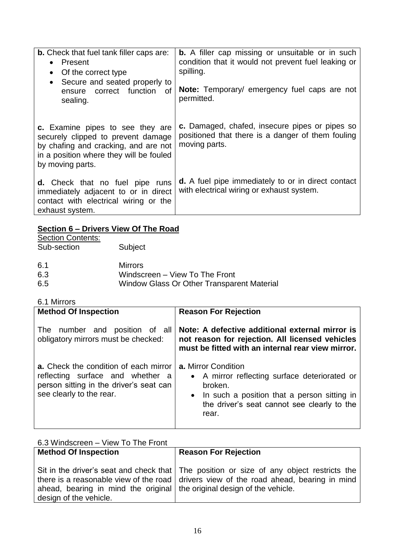| <b>b.</b> Check that fuel tank filler caps are:<br>Present<br>Of the correct type<br>$\bullet$<br>• Secure and seated properly to<br>ensure correct function<br>of<br>sealing. | <b>b.</b> A filler cap missing or unsuitable or in such<br>condition that it would not prevent fuel leaking or<br>spilling.<br>Note: Temporary/ emergency fuel caps are not<br>permitted. |
|--------------------------------------------------------------------------------------------------------------------------------------------------------------------------------|-------------------------------------------------------------------------------------------------------------------------------------------------------------------------------------------|
| c. Examine pipes to see they are<br>securely clipped to prevent damage<br>by chafing and cracking, and are not<br>in a position where they will be fouled<br>by moving parts.  | c. Damaged, chafed, insecure pipes or pipes so<br>positioned that there is a danger of them fouling<br>moving parts.                                                                      |
| <b>d.</b> Check that no fuel pipe runs<br>immediately adjacent to or in direct<br>contact with electrical wiring or the<br>exhaust system.                                     | <b>d.</b> A fuel pipe immediately to or in direct contact<br>with electrical wiring or exhaust system.                                                                                    |

### **Section 6 – Drivers View Of The Road**

| <b>Section Contents:</b> |                                            |
|--------------------------|--------------------------------------------|
| Sub-section              | Subject                                    |
|                          |                                            |
| -6.1                     | <b>Mirrors</b>                             |
| 6.3                      | Windscreen - View To The Front             |
| 6.5                      | Window Glass Or Other Transparent Material |
|                          |                                            |

#### 6.1 Mirrors

| <b>Method Of Inspection</b>                                                                                                                      | <b>Reason For Rejection</b>                                                                                                                                                                   |
|--------------------------------------------------------------------------------------------------------------------------------------------------|-----------------------------------------------------------------------------------------------------------------------------------------------------------------------------------------------|
| The number and position of all<br>obligatory mirrors must be checked:                                                                            | Note: A defective additional external mirror is<br>not reason for rejection. All licensed vehicles<br>must be fitted with an internal rear view mirror.                                       |
| a. Check the condition of each mirror<br>reflecting surface and whether a<br>person sitting in the driver's seat can<br>see clearly to the rear. | <b>a.</b> Mirror Condition<br>• A mirror reflecting surface deteriorated or<br>broken.<br>In such a position that a person sitting in<br>the driver's seat cannot see clearly to the<br>rear. |

| 6.3 Windscreen - View To The Front                                        |                                                                                          |  |
|---------------------------------------------------------------------------|------------------------------------------------------------------------------------------|--|
| <b>Method Of Inspection</b>                                               | <b>Reason For Rejection</b>                                                              |  |
|                                                                           |                                                                                          |  |
|                                                                           | Sit in the driver's seat and check that The position or size of any object restricts the |  |
|                                                                           | there is a reasonable view of the road   drivers view of the road ahead, bearing in mind |  |
| ahead, bearing in mind the original   the original design of the vehicle. |                                                                                          |  |
| design of the vehicle.                                                    |                                                                                          |  |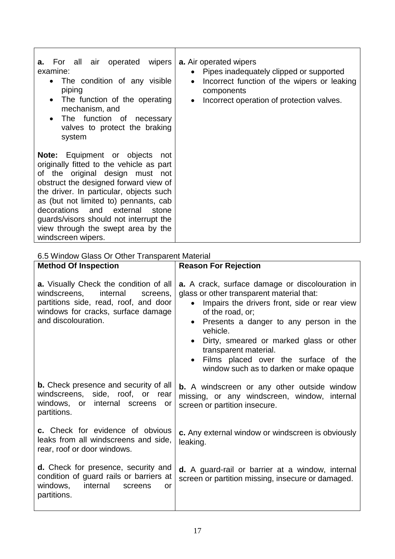| <b>a.</b> For all air operated wipers<br>examine:<br>The condition of any visible<br>$\bullet$<br>piping<br>The function of the operating<br>$\bullet$<br>mechanism, and<br>• The function of necessary<br>valves to protect the braking<br>system                                                                                                                                           | <b>a.</b> Air operated wipers<br>Pipes inadequately clipped or supported<br>Incorrect function of the wipers or leaking<br>$\bullet$<br>components<br>Incorrect operation of protection valves.<br>$\bullet$ |
|----------------------------------------------------------------------------------------------------------------------------------------------------------------------------------------------------------------------------------------------------------------------------------------------------------------------------------------------------------------------------------------------|--------------------------------------------------------------------------------------------------------------------------------------------------------------------------------------------------------------|
| <b>Note:</b> Equipment or objects not<br>originally fitted to the vehicle as part<br>of the original design must not<br>obstruct the designed forward view of<br>the driver. In particular, objects such<br>as (but not limited to) pennants, cab<br>decorations and external<br>stone<br>guards/visors should not interrupt the<br>view through the swept area by the<br>windscreen wipers. |                                                                                                                                                                                                              |

### 6.5 Window Glass Or Other Transparent Material

| <b>Method Of Inspection</b>                                                                                                                                                                 | <b>Reason For Rejection</b>                                                                                                                                                                                                                                                                                                                                                                                                 |
|---------------------------------------------------------------------------------------------------------------------------------------------------------------------------------------------|-----------------------------------------------------------------------------------------------------------------------------------------------------------------------------------------------------------------------------------------------------------------------------------------------------------------------------------------------------------------------------------------------------------------------------|
| <b>a.</b> Visually Check the condition of all<br>internal<br>windscreens,<br>screens,<br>partitions side, read, roof, and door<br>windows for cracks, surface damage<br>and discolouration. | <b>a.</b> A crack, surface damage or discolouration in<br>glass or other transparent material that:<br>Impairs the drivers front, side or rear view<br>$\bullet$<br>of the road, or;<br>Presents a danger to any person in the<br>$\bullet$<br>vehicle.<br>Dirty, smeared or marked glass or other<br>$\bullet$<br>transparent material.<br>Films placed over the surface of the<br>window such as to darken or make opaque |
| <b>b.</b> Check presence and security of all<br>windscreens, side, roof, or rear<br>windows, or internal screens<br>or<br>partitions.                                                       | <b>b.</b> A windscreen or any other outside window<br>missing, or any windscreen, window, internal<br>screen or partition insecure.                                                                                                                                                                                                                                                                                         |
| <b>c.</b> Check for evidence of obvious<br>leaks from all windscreens and side,<br>rear, roof or door windows.                                                                              | c. Any external window or windscreen is obviously<br>leaking.                                                                                                                                                                                                                                                                                                                                                               |
| <b>d.</b> Check for presence, security and<br>condition of guard rails or barriers at<br>windows,<br>internal<br>screens<br>or<br>partitions.                                               | <b>d.</b> A guard-rail or barrier at a window, internal<br>screen or partition missing, insecure or damaged.                                                                                                                                                                                                                                                                                                                |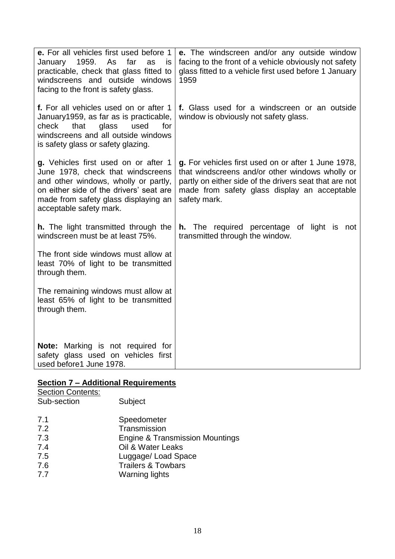| e. For all vehicles first used before 1<br>January 1959.<br>As<br>far<br>as<br>is<br>practicable, check that glass fitted to<br>windscreens and outside windows<br>facing to the front is safety glass.                         | e. The windscreen and/or any outside window<br>facing to the front of a vehicle obviously not safety<br>glass fitted to a vehicle first used before 1 January<br>1959                                                            |
|---------------------------------------------------------------------------------------------------------------------------------------------------------------------------------------------------------------------------------|----------------------------------------------------------------------------------------------------------------------------------------------------------------------------------------------------------------------------------|
| f. For all vehicles used on or after 1<br>January1959, as far as is practicable,<br>check<br>glass<br>used<br>for<br>that<br>windscreens and all outside windows<br>is safety glass or safety glazing.                          | f. Glass used for a windscreen or an outside<br>window is obviously not safety glass.                                                                                                                                            |
| g. Vehicles first used on or after 1<br>June 1978, check that windscreens<br>and other windows, wholly or partly,<br>on either side of the drivers' seat are<br>made from safety glass displaying an<br>acceptable safety mark. | g. For vehicles first used on or after 1 June 1978,<br>that windscreens and/or other windows wholly or<br>partly on either side of the drivers seat that are not<br>made from safety glass display an acceptable<br>safety mark. |
| <b>h.</b> The light transmitted through the<br>windscreen must be at least 75%.                                                                                                                                                 | <b>h.</b> The required percentage of light is not<br>transmitted through the window.                                                                                                                                             |
| The front side windows must allow at<br>least 70% of light to be transmitted<br>through them.                                                                                                                                   |                                                                                                                                                                                                                                  |
| The remaining windows must allow at<br>least 65% of light to be transmitted<br>through them.                                                                                                                                    |                                                                                                                                                                                                                                  |
| <b>Note:</b> Marking is not required for<br>safety glass used on vehicles first<br>used before1 June 1978.                                                                                                                      |                                                                                                                                                                                                                                  |

### **Section 7 – Additional Requirements**

| <b>Section Contents:</b> |                                 |
|--------------------------|---------------------------------|
| Sub-section              | Subject                         |
|                          |                                 |
| 7.1                      | Speedometer                     |
| 7.2                      | Transmission                    |
| 7.3                      | Engine & Transmission Mountings |
| 7.4                      | Oil & Water Leaks               |
| 7.5                      | Luggage/ Load Space             |
| 7.6                      | <b>Trailers &amp; Towbars</b>   |
| 7.7                      | <b>Warning lights</b>           |
|                          |                                 |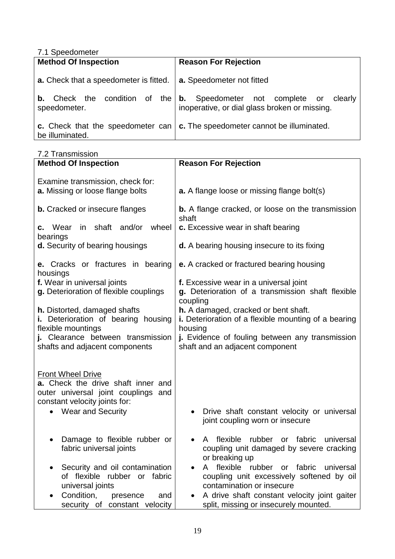| 7.1 Speedometer |
|-----------------|
|                 |

| <b>Method Of Inspection</b>                      | <b>Reason For Rejection</b>                                                                    |
|--------------------------------------------------|------------------------------------------------------------------------------------------------|
| a. Check that a speedometer is fitted.           | a. Speedometer not fitted                                                                      |
| Check the condition of the<br>b.<br>speedometer. | <b>b.</b> Speedometer not complete or clearly<br>inoperative, or dial glass broken or missing. |
| be illuminated.                                  | c. Check that the speedometer can $\vert$ c. The speedometer cannot be illuminated.            |

7.2 Transmission

| <b>Method Of Inspection</b>                                                                                                                                             | <b>Reason For Rejection</b>                                                                                                                                                                   |  |  |
|-------------------------------------------------------------------------------------------------------------------------------------------------------------------------|-----------------------------------------------------------------------------------------------------------------------------------------------------------------------------------------------|--|--|
| Examine transmission, check for:<br>a. Missing or loose flange bolts                                                                                                    | <b>a.</b> A flange loose or missing flange bolt(s)                                                                                                                                            |  |  |
| <b>b.</b> Cracked or insecure flanges                                                                                                                                   | <b>b.</b> A flange cracked, or loose on the transmission<br>shaft                                                                                                                             |  |  |
| in shaft and/or wheel<br><b>c.</b> Wear<br>bearings                                                                                                                     | c. Excessive wear in shaft bearing                                                                                                                                                            |  |  |
| d. Security of bearing housings                                                                                                                                         | <b>d.</b> A bearing housing insecure to its fixing                                                                                                                                            |  |  |
| <b>e.</b> Cracks or fractures in bearing<br>housings                                                                                                                    | e. A cracked or fractured bearing housing                                                                                                                                                     |  |  |
| f. Wear in universal joints<br>g. Deterioration of flexible couplings                                                                                                   | f. Excessive wear in a universal joint<br>g. Deterioration of a transmission shaft flexible<br>coupling                                                                                       |  |  |
| <b>h.</b> Distorted, damaged shafts<br>i. Deterioration of bearing housing<br>flexible mountings<br>j. Clearance between transmission<br>shafts and adjacent components | h. A damaged, cracked or bent shaft.<br>i. Deterioration of a flexible mounting of a bearing<br>housing<br>j. Evidence of fouling between any transmission<br>shaft and an adjacent component |  |  |
| <b>Front Wheel Drive</b><br>a. Check the drive shaft inner and<br>outer universal joint couplings and<br>constant velocity joints for:<br><b>Wear and Security</b>      | Drive shaft constant velocity or universal<br>joint coupling worn or insecure                                                                                                                 |  |  |
| Damage to flexible rubber or<br>fabric universal joints                                                                                                                 | flexible<br>rubber or fabric<br>universal<br>A<br>coupling unit damaged by severe cracking<br>or breaking up                                                                                  |  |  |
| Security and oil contamination<br>of flexible rubber or fabric<br>universal joints                                                                                      | flexible rubber or fabric universal<br>A<br>coupling unit excessively softened by oil<br>contamination or insecure                                                                            |  |  |
| Condition,<br>and<br>presence<br>security of constant velocity                                                                                                          | A drive shaft constant velocity joint gaiter<br>split, missing or insecurely mounted.                                                                                                         |  |  |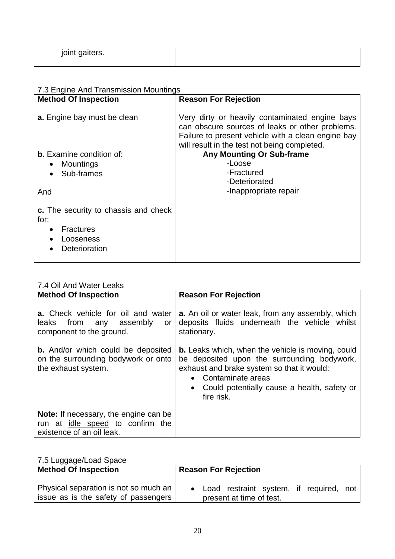| $\sim$<br>.<br>.<br>ີ <sub>ປີ</sub> ຕາບເບເ |  |
|--------------------------------------------|--|
|                                            |  |

### 7.3 Engine And Transmission Mountings

| <b>Method Of Inspection</b>                                                                                        | <b>Reason For Rejection</b>                                                                                                                                                                             |
|--------------------------------------------------------------------------------------------------------------------|---------------------------------------------------------------------------------------------------------------------------------------------------------------------------------------------------------|
| a. Engine bay must be clean                                                                                        | Very dirty or heavily contaminated engine bays<br>can obscure sources of leaks or other problems.<br>Failure to present vehicle with a clean engine bay<br>will result in the test not being completed. |
| <b>b.</b> Examine condition of:<br>Mountings<br>Sub-frames<br>And                                                  | <b>Any Mounting Or Sub-frame</b><br>-Loose<br>-Fractured<br>-Deteriorated<br>-Inappropriate repair                                                                                                      |
| <b>c.</b> The security to chassis and check<br>for:<br><b>Fractures</b><br>$\bullet$<br>Looseness<br>Deterioration |                                                                                                                                                                                                         |

### 7.4 Oil And Water Leaks

| <b>Method Of Inspection</b><br><b>a.</b> Check vehicle for oil and water                                | <b>Reason For Rejection</b><br>a. An oil or water leak, from any assembly, which                                                                                                                                                                       |
|---------------------------------------------------------------------------------------------------------|--------------------------------------------------------------------------------------------------------------------------------------------------------------------------------------------------------------------------------------------------------|
| leaks from<br>any assembly<br>or<br>component to the ground.                                            | deposits fluids underneath the vehicle whilst<br>stationary.                                                                                                                                                                                           |
| <b>b.</b> And/or which could be deposited<br>on the surrounding bodywork or onto<br>the exhaust system. | <b>b.</b> Leaks which, when the vehicle is moving, could<br>be deposited upon the surrounding bodywork,<br>exhaust and brake system so that it would:<br>• Contaminate areas<br>Could potentially cause a health, safety or<br>$\bullet$<br>fire risk. |
| <b>Note:</b> If necessary, the engine can be<br>run at <i>idle</i> speed to confirm the                 |                                                                                                                                                                                                                                                        |
| existence of an oil leak.                                                                               |                                                                                                                                                                                                                                                        |

### 7.5 Luggage/Load Space

| <b>Method Of Inspection</b>           | <b>Reason For Rejection</b>             |
|---------------------------------------|-----------------------------------------|
| Physical separation is not so much an | Load restraint system, if required, not |
| issue as is the safety of passengers  | present at time of test.                |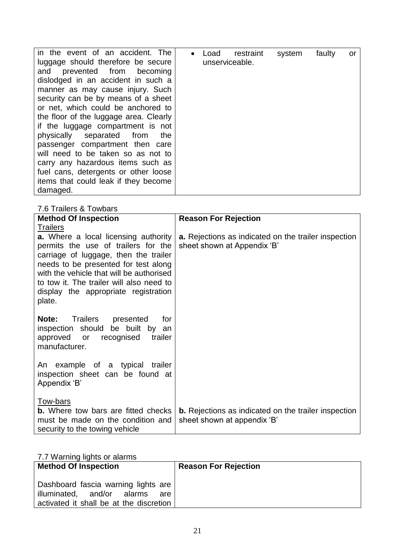| in the event of an accident. The       |  | Load | restraint      | system | faulty | or |
|----------------------------------------|--|------|----------------|--------|--------|----|
| luggage should therefore be secure     |  |      | unserviceable. |        |        |    |
| and prevented from becoming            |  |      |                |        |        |    |
| dislodged in an accident in such a     |  |      |                |        |        |    |
| manner as may cause injury. Such       |  |      |                |        |        |    |
| security can be by means of a sheet    |  |      |                |        |        |    |
| or net, which could be anchored to     |  |      |                |        |        |    |
| the floor of the luggage area. Clearly |  |      |                |        |        |    |
| if the luggage compartment is not      |  |      |                |        |        |    |
| physically separated from<br>the       |  |      |                |        |        |    |
| passenger compartment then care        |  |      |                |        |        |    |
| will need to be taken so as not to     |  |      |                |        |        |    |
| carry any hazardous items such as      |  |      |                |        |        |    |
| fuel cans, detergents or other loose   |  |      |                |        |        |    |
| items that could leak if they become   |  |      |                |        |        |    |
| damaged.                               |  |      |                |        |        |    |

### 7.6 Trailers & Towbars

| <b>Method Of Inspection</b>                                                      | <b>Reason For Rejection</b>                                                                |
|----------------------------------------------------------------------------------|--------------------------------------------------------------------------------------------|
| <b>Trailers</b>                                                                  |                                                                                            |
| <b>a.</b> Where a local licensing authority                                      | a. Rejections as indicated on the trailer inspection                                       |
| permits the use of trailers for the                                              | sheet shown at Appendix 'B'                                                                |
| carriage of luggage, then the trailer                                            |                                                                                            |
| needs to be presented for test along<br>with the vehicle that will be authorised |                                                                                            |
| to tow it. The trailer will also need to                                         |                                                                                            |
| display the appropriate registration                                             |                                                                                            |
| plate.                                                                           |                                                                                            |
|                                                                                  |                                                                                            |
| Trailers presented<br>Note:<br>for                                               |                                                                                            |
| inspection should be built by an                                                 |                                                                                            |
| trailer<br>approved or<br>recognised<br>manufacturer.                            |                                                                                            |
|                                                                                  |                                                                                            |
| An example of a typical trailer                                                  |                                                                                            |
| inspection sheet can be found at                                                 |                                                                                            |
| Appendix 'B'                                                                     |                                                                                            |
|                                                                                  |                                                                                            |
| Tow-bars                                                                         |                                                                                            |
| <b>b.</b> Where tow bars are fitted checks<br>must be made on the condition and  | <b>b.</b> Rejections as indicated on the trailer inspection<br>sheet shown at appendix 'B' |
| security to the towing vehicle                                                   |                                                                                            |

### 7.7 Warning lights or alarms

| <b>Method Of Inspection</b>                                                                                         | <b>Reason For Rejection</b> |
|---------------------------------------------------------------------------------------------------------------------|-----------------------------|
| Dashboard fascia warning lights are<br>illuminated, and/or alarms<br>are<br>activated it shall be at the discretion |                             |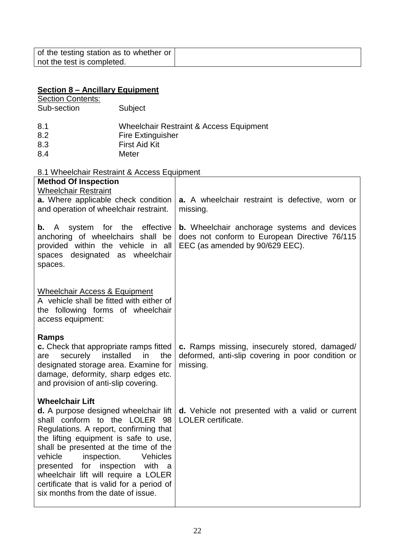### **Section 8 – Ancillary Equipment**

#### **Section Contents:** Sub-section Subject

| 8.1 | Wheelchair Restraint & Access Equipment |
|-----|-----------------------------------------|
| 8.2 | <b>Fire Extinguisher</b>                |
| 8.3 | <b>First Aid Kit</b>                    |
| 8.4 | Meter                                   |

## 8.1 Wheelchair Restraint & Access Equipment

| <b>Method Of Inspection</b>                                                                                                                                                                                                                                                                                                                                                                                                         |                                                                                                                                        |
|-------------------------------------------------------------------------------------------------------------------------------------------------------------------------------------------------------------------------------------------------------------------------------------------------------------------------------------------------------------------------------------------------------------------------------------|----------------------------------------------------------------------------------------------------------------------------------------|
| <b>Wheelchair Restraint</b><br>a. Where applicable check condition<br>and operation of wheelchair restraint.                                                                                                                                                                                                                                                                                                                        | a. A wheelchair restraint is defective, worn or<br>missing.                                                                            |
| system for the<br>effective<br>A<br>b.<br>anchoring of wheelchairs shall be<br>provided within the vehicle in all<br>spaces designated as wheelchair<br>spaces.                                                                                                                                                                                                                                                                     | <b>b.</b> Wheelchair anchorage systems and devices<br>does not conform to European Directive 76/115<br>EEC (as amended by 90/629 EEC). |
| <b>Wheelchair Access &amp; Equipment</b><br>A vehicle shall be fitted with either of<br>the following forms of wheelchair<br>access equipment:                                                                                                                                                                                                                                                                                      |                                                                                                                                        |
| <b>Ramps</b><br>c. Check that appropriate ramps fitted<br>securely<br>installed<br>the<br>in<br>are<br>designated storage area. Examine for<br>damage, deformity, sharp edges etc.<br>and provision of anti-slip covering.                                                                                                                                                                                                          | c. Ramps missing, insecurely stored, damaged/<br>deformed, anti-slip covering in poor condition or<br>missing.                         |
| <b>Wheelchair Lift</b><br>d. A purpose designed wheelchair lift<br>shall conform to the LOLER 98<br>Regulations. A report, confirming that<br>the lifting equipment is safe to use,<br>shall be presented at the time of the<br>inspection.<br>vehicle<br>Vehicles<br>presented for inspection with<br>a<br>wheelchair lift will require a LOLER<br>certificate that is valid for a period of<br>six months from the date of issue. | <b>d.</b> Vehicle not presented with a valid or current<br><b>LOLER</b> certificate.                                                   |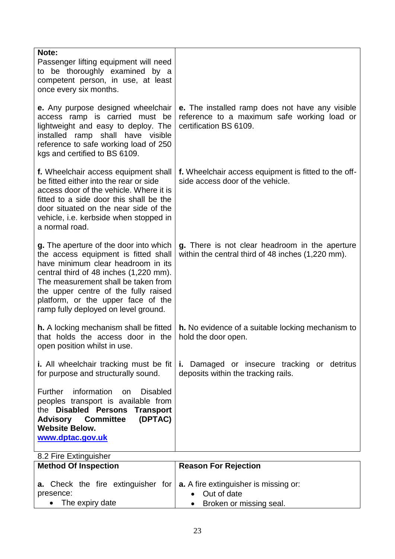| Note:                                                                                                                                                                                                                                                                                                                       |                                                                                                                                 |
|-----------------------------------------------------------------------------------------------------------------------------------------------------------------------------------------------------------------------------------------------------------------------------------------------------------------------------|---------------------------------------------------------------------------------------------------------------------------------|
| Passenger lifting equipment will need                                                                                                                                                                                                                                                                                       |                                                                                                                                 |
| to be thoroughly examined by a                                                                                                                                                                                                                                                                                              |                                                                                                                                 |
| competent person, in use, at least                                                                                                                                                                                                                                                                                          |                                                                                                                                 |
| once every six months.                                                                                                                                                                                                                                                                                                      |                                                                                                                                 |
| e. Any purpose designed wheelchair<br>access ramp is carried must be<br>lightweight and easy to deploy. The<br>installed ramp shall have visible<br>reference to safe working load of 250<br>kgs and certified to BS 6109.                                                                                                  | <b>e.</b> The installed ramp does not have any visible<br>reference to a maximum safe working load or<br>certification BS 6109. |
| f. Wheelchair access equipment shall<br>be fitted either into the rear or side<br>access door of the vehicle. Where it is<br>fitted to a side door this shall be the<br>door situated on the near side of the<br>vehicle, i.e. kerbside when stopped in<br>a normal road.                                                   | f. Wheelchair access equipment is fitted to the off-<br>side access door of the vehicle.                                        |
|                                                                                                                                                                                                                                                                                                                             |                                                                                                                                 |
| g. The aperture of the door into which<br>the access equipment is fitted shall<br>have minimum clear headroom in its<br>central third of 48 inches (1,220 mm).<br>The measurement shall be taken from<br>the upper centre of the fully raised<br>platform, or the upper face of the<br>ramp fully deployed on level ground. | g. There is not clear headroom in the aperture<br>within the central third of 48 inches (1,220 mm).                             |
| <b>h.</b> A locking mechanism shall be fitted<br>that holds the access door in the<br>open position whilst in use.                                                                                                                                                                                                          | h. No evidence of a suitable locking mechanism to<br>hold the door open.                                                        |
| i. All wheelchair tracking must be fit<br>for purpose and structurally sound.                                                                                                                                                                                                                                               | Damaged or insecure tracking or detritus<br>i.<br>deposits within the tracking rails.                                           |
| information<br><b>Further</b><br><b>Disabled</b><br>on<br>peoples transport is available from<br>the Disabled Persons<br><b>Transport</b><br><b>Advisory Committee</b><br>(DPTAC)<br><b>Website Below.</b><br>www.dptac.gov.uk                                                                                              |                                                                                                                                 |
| 8.2 Fire Extinguisher                                                                                                                                                                                                                                                                                                       |                                                                                                                                 |
| <b>Method Of Inspection</b>                                                                                                                                                                                                                                                                                                 | <b>Reason For Rejection</b>                                                                                                     |
| a. Check the fire extinguisher for                                                                                                                                                                                                                                                                                          | <b>a.</b> A fire extinguisher is missing or:                                                                                    |
| presence:                                                                                                                                                                                                                                                                                                                   | Out of date<br>$\bullet$                                                                                                        |
| The expiry date                                                                                                                                                                                                                                                                                                             | Broken or missing seal.                                                                                                         |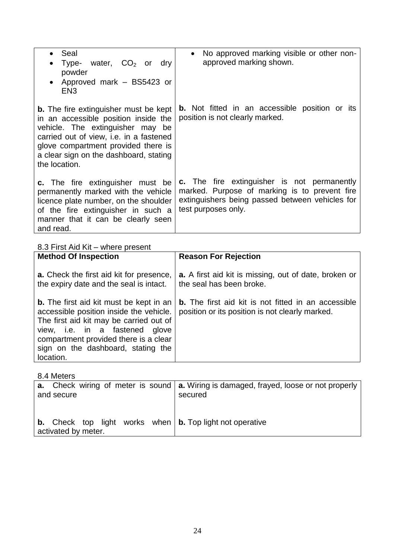| Seal<br>$\bullet$<br>water, $CO2$ or<br>Type-<br>dry<br>powder<br>Approved mark - BS5423 or<br>EN <sub>3</sub>                                                                                                                                                                 | No approved marking visible or other non-<br>approved marking shown.                                                                                                   |  |  |
|--------------------------------------------------------------------------------------------------------------------------------------------------------------------------------------------------------------------------------------------------------------------------------|------------------------------------------------------------------------------------------------------------------------------------------------------------------------|--|--|
| <b>b.</b> The fire extinguisher must be kept<br>in an accessible position inside the<br>vehicle. The extinguisher may be<br>carried out of view, i.e. in a fastened<br>glove compartment provided there is<br>a clear sign on the dashboard, stating<br>the location.          | <b>b.</b> Not fitted in an accessible position or its<br>position is not clearly marked.                                                                               |  |  |
| c. The fire extinguisher must be<br>permanently marked with the vehicle<br>licence plate number, on the shoulder<br>of the fire extinguisher in such a<br>manner that it can be clearly seen<br>and read.                                                                      | c. The fire extinguisher is not permanently<br>marked. Purpose of marking is to prevent fire<br>extinguishers being passed between vehicles for<br>test purposes only. |  |  |
| 8.3 First Aid Kit - where present                                                                                                                                                                                                                                              |                                                                                                                                                                        |  |  |
| <b>Method Of Inspection</b>                                                                                                                                                                                                                                                    | <b>Reason For Rejection</b>                                                                                                                                            |  |  |
| <b>a.</b> Check the first aid kit for presence,<br>the expiry date and the seal is intact.                                                                                                                                                                                     | <b>a.</b> A first aid kit is missing, out of date, broken or<br>the seal has been broke.                                                                               |  |  |
| <b>b.</b> The first aid kit must be kept in an<br>accessible position inside the vehicle.<br>The first aid kit may be carried out of<br>fastened<br>view, i.e.<br>in<br>a<br>glove<br>compartment provided there is a clear<br>sign on the dashboard, stating the<br>location. | <b>b.</b> The first aid kit is not fitted in an accessible<br>position or its position is not clearly marked.                                                          |  |  |

8.4 Meters

| and secure                                                                                            | <b>a.</b> Check wiring of meter is sound $ $ <b>a.</b> Wiring is damaged, frayed, loose or not properly $ $<br>secured |
|-------------------------------------------------------------------------------------------------------|------------------------------------------------------------------------------------------------------------------------|
| <b>b.</b> Check top light works when $\vert$ <b>b.</b> Top light not operative<br>activated by meter. |                                                                                                                        |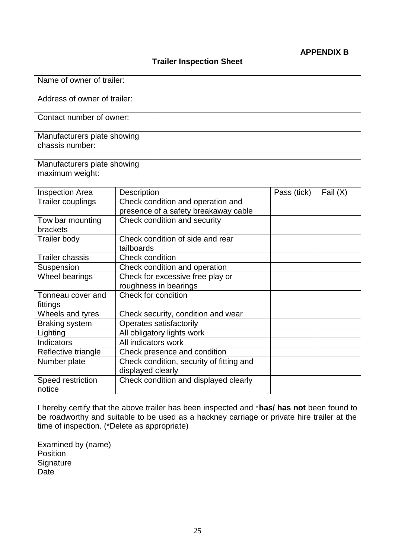#### **APPENDIX B**

### **Trailer Inspection Sheet**

| Name of owner of trailer:                      |  |
|------------------------------------------------|--|
| Address of owner of trailer:                   |  |
| Contact number of owner:                       |  |
| Manufacturers plate showing<br>chassis number: |  |
| Manufacturers plate showing<br>maximum weight: |  |

| <b>Inspection Area</b> | Description                              | Pass (tick) | Fail $(X)$ |
|------------------------|------------------------------------------|-------------|------------|
| Trailer couplings      | Check condition and operation and        |             |            |
|                        | presence of a safety breakaway cable     |             |            |
| Tow bar mounting       | Check condition and security             |             |            |
| <b>brackets</b>        |                                          |             |            |
| <b>Trailer body</b>    | Check condition of side and rear         |             |            |
|                        | tailboards                               |             |            |
| <b>Trailer chassis</b> | <b>Check condition</b>                   |             |            |
| Suspension             | Check condition and operation            |             |            |
| Wheel bearings         | Check for excessive free play or         |             |            |
|                        | roughness in bearings                    |             |            |
| Tonneau cover and      | Check for condition                      |             |            |
| fittings               |                                          |             |            |
| Wheels and tyres       | Check security, condition and wear       |             |            |
| <b>Braking system</b>  | Operates satisfactorily                  |             |            |
| Lighting               | All obligatory lights work               |             |            |
| Indicators             | All indicators work                      |             |            |
| Reflective triangle    | Check presence and condition             |             |            |
| Number plate           | Check condition, security of fitting and |             |            |
|                        | displayed clearly                        |             |            |
| Speed restriction      | Check condition and displayed clearly    |             |            |
| notice                 |                                          |             |            |

I hereby certify that the above trailer has been inspected and \***has/ has not** been found to be roadworthy and suitable to be used as a hackney carriage or private hire trailer at the time of inspection. (\*Delete as appropriate)

Examined by (name) Position **Signature** Date